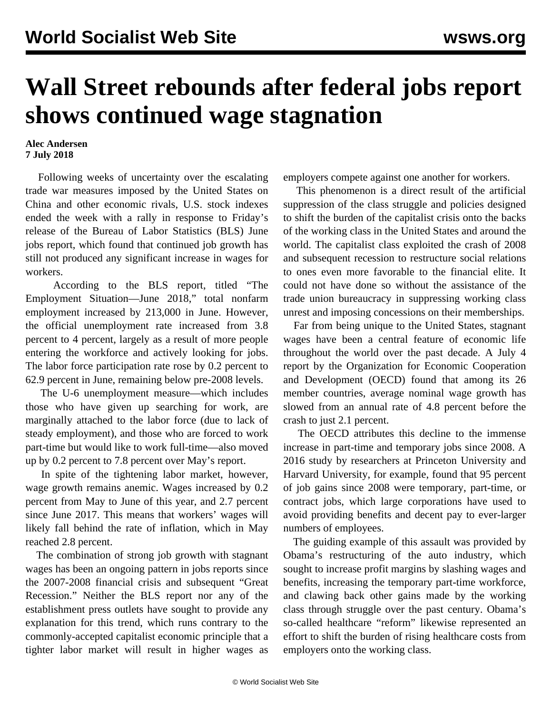## **Wall Street rebounds after federal jobs report shows continued wage stagnation**

## **Alec Andersen 7 July 2018**

 Following weeks of uncertainty over the escalating trade war measures imposed by the United States on China and other economic rivals, U.S. stock indexes ended the week with a rally in response to Friday's release of the Bureau of Labor Statistics (BLS) June jobs report, which found that continued job growth has still not produced any significant increase in wages for workers.

 According to the BLS report, titled "The Employment Situation—June 2018," total nonfarm employment increased by 213,000 in June. However, the official unemployment rate increased from 3.8 percent to 4 percent, largely as a result of more people entering the workforce and actively looking for jobs. The labor force participation rate rose by 0.2 percent to 62.9 percent in June, remaining below pre-2008 levels.

 The U-6 unemployment measure—which includes those who have given up searching for work, are marginally attached to the labor force (due to lack of steady employment), and those who are forced to work part-time but would like to work full-time—also moved up by 0.2 percent to 7.8 percent over May's report.

 In spite of the tightening labor market, however, wage growth remains anemic. Wages increased by 0.2 percent from May to June of this year, and 2.7 percent since June 2017. This means that workers' wages will likely fall behind the rate of inflation, which in May reached 2.8 percent.

 The combination of strong job growth with stagnant wages has been an ongoing pattern in jobs reports since the 2007-2008 financial crisis and subsequent "Great Recession." Neither the BLS report nor any of the establishment press outlets have sought to provide any explanation for this trend, which runs contrary to the commonly-accepted capitalist economic principle that a tighter labor market will result in higher wages as

employers compete against one another for workers.

 This phenomenon is a direct result of the artificial suppression of the class struggle and policies designed to shift the burden of the capitalist crisis onto the backs of the working class in the United States and around the world. The capitalist class exploited the crash of 2008 and subsequent recession to restructure social relations to ones even more favorable to the financial elite. It could not have done so without the assistance of the trade union bureaucracy in suppressing working class unrest and imposing concessions on their memberships.

 Far from being unique to the United States, stagnant wages have been a central feature of economic life throughout the world over the past decade. A July 4 report by the Organization for Economic Cooperation and Development (OECD) found that among its 26 member countries, average nominal wage growth has slowed from an annual rate of 4.8 percent before the crash to just 2.1 percent.

 The OECD attributes this decline to the immense increase in part-time and temporary jobs since 2008. A 2016 study by researchers at Princeton University and Harvard University, for example, found that 95 percent of job gains since 2008 were temporary, part-time, or contract jobs, which large corporations have used to avoid providing benefits and decent pay to ever-larger numbers of employees.

 The guiding example of this assault was provided by Obama's restructuring of the auto industry, which sought to increase profit margins by slashing wages and benefits, increasing the temporary part-time workforce, and clawing back other gains made by the working class through struggle over the past century. Obama's so-called healthcare "reform" likewise represented an effort to shift the burden of rising healthcare costs from employers onto the working class.